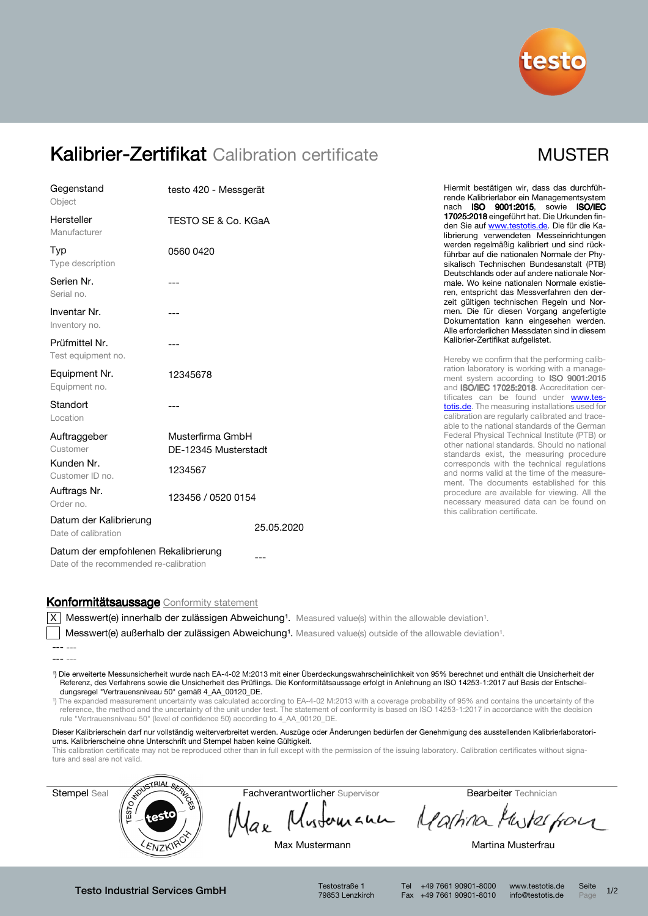

## Kalibrier-Zertifikat Calibration certificate MUSTER

| Gegenstand<br>Object                          | testo 420 - Messgerät                    |            |  |  |  |
|-----------------------------------------------|------------------------------------------|------------|--|--|--|
| Hersteller<br>Manufacturer                    | TESTO SE & Co. KGaA                      |            |  |  |  |
| Typ<br>Type description                       | 0560 0420                                |            |  |  |  |
| Serien Nr.<br>Serial no.                      | ---                                      |            |  |  |  |
| Inventar Nr.<br>Inventory no.                 | ---                                      |            |  |  |  |
| Prüfmittel Nr.<br>Test equipment no.          | ---                                      |            |  |  |  |
| Equipment Nr.<br>Equipment no.                | 12345678                                 |            |  |  |  |
| Standort<br>Location                          |                                          |            |  |  |  |
| Auftraggeber<br>Customer                      | Musterfirma GmbH<br>DE-12345 Musterstadt |            |  |  |  |
| Kunden Nr.<br>Customer ID no.                 | 1234567                                  |            |  |  |  |
| Auftrags Nr.<br>Order no.                     | 123456 / 0520 0154                       |            |  |  |  |
| Datum der Kalibrierung<br>Date of calibration |                                          | 25.05.2020 |  |  |  |
| Datum der empfohlenen Rekalibrierung          |                                          |            |  |  |  |

Hiermit bestätigen wir, dass das durchführende Kalibrierlabor ein Managementsystem nach ISO 9001:2015, sowie ISO/IEC 17025:2018 eingeführt hat. Die Urkunden finden Sie auf www.testotis.de. Die für die Kalibrierung verwendeten Messeinrichtungen werden regelmäßig kalibriert und sind rückführbar auf die nationalen Normale der Physikalisch Technischen Bundesanstalt (PTB) Deutschlands oder auf andere nationale Normale. Wo keine nationalen Normale existieren, entspricht das Messverfahren den derzeit gültigen technischen Regeln und Normen. Die für diesen Vorgang angefertigte Dokumentation kann eingesehen werden. Alle erforderlichen Messdaten sind in diesem Kalibrier-Zertifikat aufgelistet.

Hereby we confirm that the performing calibration laboratory is working with a management system according to **ISO 9001:2015** and ISO/IEC 17025:2018. Accreditation certificates can be found under www.testotis.de. The measuring installations used for calibration are regularly calibrated and traceable to the national standards of the German Federal Physical Technical Institute (PTB) or other national standards. Should no national standards exist, the measuring procedure corresponds with the technical regulations and norms valid at the time of the measurement. The documents established for this procedure are available for viewing. All the necessary measured data can be found on this calibration certificate.

# Konformitätsaussage Conformity statement

Date of the recommended re-calibration

 $|X|$  Messwert(e) innerhalb der zulässigen Abweichung<sup>1</sup>. Measured value(s) within the allowable deviation<sup>1</sup>.

Messwert(e) außerhalb der zulässigen Abweichung<sup>1</sup>. Measured value(s) outside of the allowable deviation<sup>1</sup>.

¹) Die erweiterte Messunsicherheit wurde nach EA-4-02 M:2013 mit einer Überdeckungswahrscheinlichkeit von 95% berechnet und enthält die Unsicherheit der Referenz, des Verfahrens sowie die Unsicherheit des Prüflings. Die Konformitätsaussage erfolgt in Anlehnung an ISO 14253-1:2017 auf Basis der Entscheidungsregel "Vertrauensniveau 50" gemäß 4\_AA\_00120\_DE.

¹) The expanded measurement uncertainty was calculated according to EA-4-02 M:2013 with a coverage probability of 95% and contains the uncertainty of the reference, the method and the uncertainty of the unit under test. The statement of conformity is based on ISO 14253-1:2017 in accordance with the decision rule "Vertrauensniveau 50" (level of confidence 50) according to 4\_AA\_00120\_DE.

Dieser Kalibrierschein darf nur vollständig weiterverbreitet werden. Auszüge oder Änderungen bedürfen der Genehmigung des ausstellenden Kalibrierlaboratoriums. Kalibrierscheine ohne Unterschrift und Stempel haben keine Gültigkeit.

This calibration certificate may not be reproduced other than in full except with the permission of the issuing laboratory. Calibration certificates without signature and seal are not valid.



Testo Industrial Services GmbH Testostraße 1

79853 Lenzkirch

Tel +49 7661 90901-8000 www.testotis.de Seite 1/2 Fax +49 7661 90901-8010 info@testotis.de Page

<sup>---</sup> ---